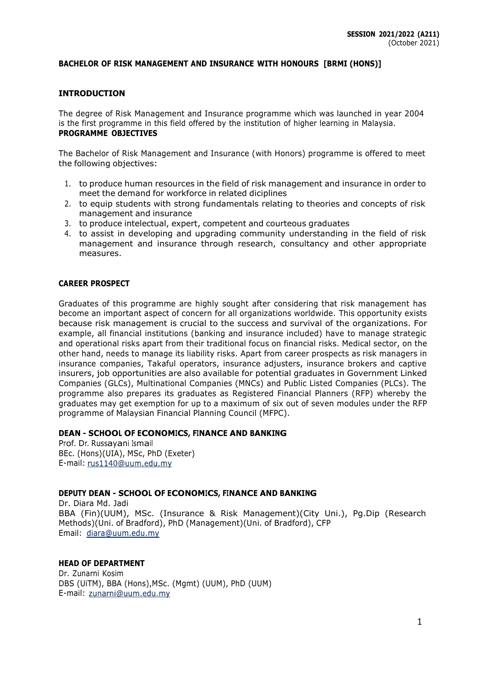## **BACHELOR OF RISK MANAGEMENT AND INSURANCE WITH HONOURS [BRMI (HONS)]**

## **INTRODUCTION**

The degree of Risk Management and Insurance programme which was launched in year 2004 is the first programme in this field offered by the institution of higher learning in Malaysia. **PROGRAMME OBJECTIVES**

The Bachelor of Risk Management and Insurance (with Honors) programme is offered to meet the following objectives:

- 1. to produce human resources in the field of risk management and insurance in order to meet the demand for workforce in related diciplines
- 2. to equip students with strong fundamentals relating to theories and concepts of risk management and insurance
- 3. to produce intelectual, expert, competent and courteous graduates
- 4. to assist in developing and upgrading community understanding in the field of risk management and insurance through research, consultancy and other appropriate measures.

#### **CAREER PROSPECT**

Graduates of this programme are highly sought after considering that risk management has become an important aspect of concern for all organizations worldwide. This opportunity exists because risk management is crucial to the success and survival of the organizations. For example, all financial institutions (banking and insurance included) have to manage strategic and operational risks apart from their traditional focus on financial risks. Medical sector, on the other hand, needs to manage its liability risks. Apart from career prospects as risk managers in insurance companies, Takaful operators, insurance adjusters, insurance brokers and captive insurers, job opportunities are also available for potential graduates in Government Linked Companies (GLCs), Multinational Companies (MNCs) and Public Listed Companies (PLCs). The programme also prepares its graduates as Registered Financial Planners (RFP) whereby the graduates may get exemption for up to a maximum of six out of seven modules under the RFP programme of Malaysian Financial Planning Council (MFPC).

## **DEAN - SCHOOL OF ECONOMICS, FINANCE AND BANKING**

Prof. Dr. Russayani Ismail BEc. (Hons)(UIA), MSc, PhD (Exeter) E-mail: rus1140@uum.edu.my

## **DEPUTY DEAN - SCHOOL OF ECONOMICS, FINANCE AND BANKING**

Dr. Diara Md. Jadi BBA (Fin)(UUM), MSc. (Insurance & Risk Management)(City Uni.), Pg.Dip (Research Methods)(Uni. of Bradford), PhD (Management)(Uni. of Bradford), CFP Email: [diara@uum.edu.my](mailto:diara@uum.edu.my)

## **HEAD OF DEPARTMENT**

Dr. Zunarni Kosim DBS (UiTM), BBA (Hons),MSc. (Mgmt) (UUM), PhD (UUM) E-mail: zunarni@uum.edu.my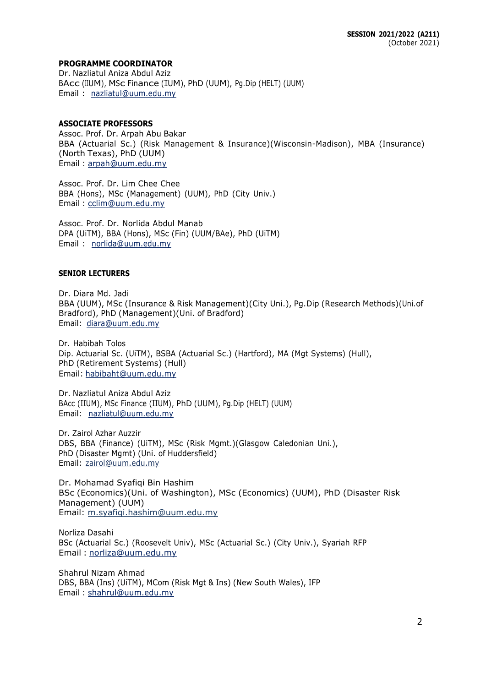## **PROGRAMME COORDINATOR**

Dr. Nazliatul Aniza Abdul Aziz BAcc (IIUM), MSc Finance (IIUM), PhD (UUM), Pg.Dip (HELT) (UUM) Email : [nazliatul@uum.edu.my](mailto:nazliatul@uum.edu.my)

## **ASSOCIATE PROFESSORS**

Assoc. Prof. Dr. Arpah Abu Bakar BBA (Actuarial Sc.) (Risk Management & Insurance)(Wisconsin-Madison), MBA (Insurance) (North Texas), PhD (UUM) Email : [arpah@uum.edu.my](mailto:arpah@uum.edu.my)

Assoc. Prof. Dr. Lim Chee Chee BBA (Hons), MSc (Management) (UUM), PhD (City Univ.) Email : [cclim@uum.edu.my](mailto:cclim@uum.edu.my)

Assoc. Prof. Dr. Norlida Abdul Manab DPA (UiTM), BBA (Hons), MSc (Fin) (UUM/BAe), PhD (UiTM) Email : [norlida@uum.edu.my](mailto:norlida@uum.edu.my)

## **SENIOR LECTURERS**

Dr. Diara Md. Jadi BBA (UUM), MSc (Insurance & Risk Management)(City Uni.), Pg.Dip (Research Methods)(Uni.of Bradford), PhD (Management)(Uni. of Bradford) Email: [diara@uum.edu.my](mailto:diara@uum.edu.my)

Dr. Habibah Tolos Dip. Actuarial Sc. (UiTM), BSBA (Actuarial Sc.) (Hartford), MA (Mgt Systems) (Hull), PhD (Retirement Systems) (Hull) Email: [habibaht@uum.edu.my](mailto:habibaht@uum.edu.my)

Dr. Nazliatul Aniza Abdul Aziz BAcc (IIUM), MSc Finance (IIUM), PhD (UUM), Pg.Dip (HELT) (UUM) Email: [nazliatul@uum.edu.my](mailto:nazliatul@uum.edu.my)

Dr. Zairol Azhar Auzzir DBS, BBA (Finance) (UiTM), MSc (Risk Mgmt.)(Glasgow Caledonian Uni.), PhD (Disaster Mgmt) (Uni. of Huddersfield) Email: [zairol@uum.edu.my](mailto:zairol@uum.edu.my)

Dr. Mohamad Syafiqi Bin Hashim BSc (Economics)(Uni. of Washington), MSc (Economics) (UUM), PhD (Disaster Risk Management) (UUM) Email: [m.syafiqi.hashim@uum.edu.my](mailto:m.syafiqi.hashim@uum.edu.my)

Norliza Dasahi BSc (Actuarial Sc.) (Roosevelt Univ), MSc (Actuarial Sc.) (City Univ.), Syariah RFP Email : [norliza@uum.edu.my](mailto:norliza@uum.edu.my)

Shahrul Nizam Ahmad DBS, BBA (Ins) (UiTM), MCom (Risk Mgt & Ins) (New South Wales), IFP Email : [shahrul@uum.edu.my](mailto:shahrul@uum.edu.my)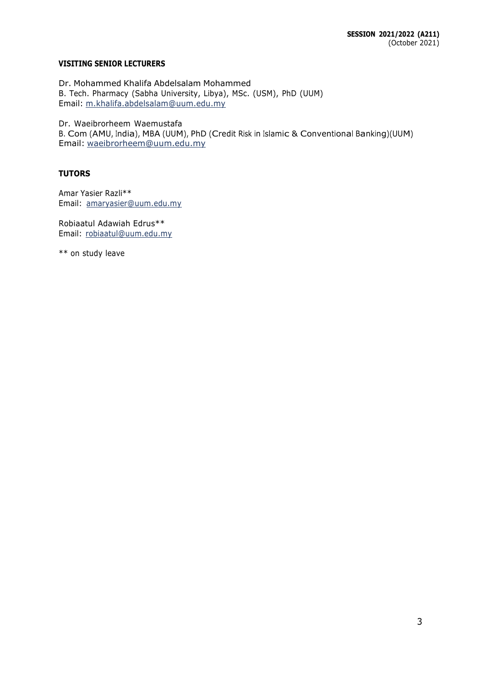## **VISITING SENIOR LECTURERS**

Dr. Mohammed Khalifa Abdelsalam Mohammed B. Tech. Pharmacy (Sabha University, Libya), MSc. (USM), PhD (UUM) Email: [m.khalifa.abdelsalam@uum.edu.my](mailto:m.khalifa.abdelsalam@uum.edu.my)

Dr. Waeibrorheem Waemustafa

B. Com (AMU, India), MBA (UUM), PhD (Credit Risk in Islamic & Conventional Banking)(UUM) Email: [waeibrorheem@uum.edu.my](mailto:waeibrorheem@uum.edu.my)

## **TUTORS**

Amar Yasier Razli\*\* Email: [amaryasier@uum.edu.my](mailto:amaryasier@uum.edu.my)

Robiaatul Adawiah Edrus\*\* Email: [robiaatul@uum.edu.my](mailto:robiaatul@uum.edu.my)

\*\* on study leave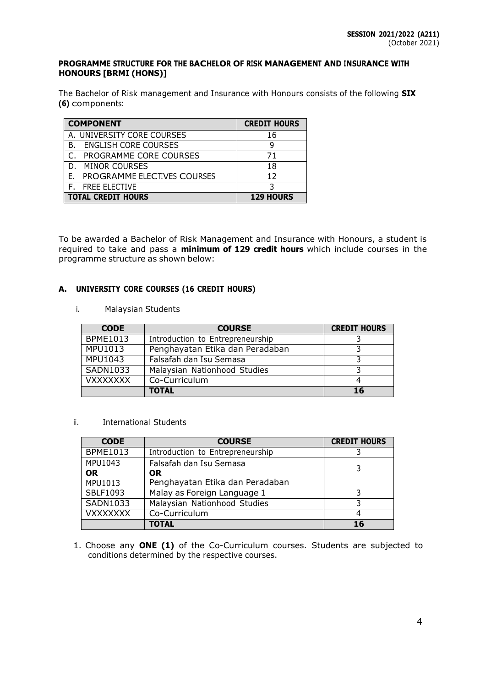## **PROGRAMME STRUCTURE FOR THE BACHELOR OF RISK MANAGEMENT AND INSURANCE WITH HONOURS [BRMI (HONS)]**

The Bachelor of Risk management and Insurance with Honours consists of the following **SIX (6)** components:

| <b>COMPONENT</b>                  | <b>CREDIT HOURS</b> |
|-----------------------------------|---------------------|
| A. UNIVERSITY CORE COURSES        | 16                  |
| <b>ENGLISH CORE COURSES</b><br>В. | q                   |
| PROGRAMME CORE COURSES            | 71                  |
| <b>MINOR COURSES</b><br>D.        | 18                  |
| E. PROGRAMME ELECTIVES COURSES    | 12                  |
| <b>F.</b> FREE ELECTIVE           |                     |
| <b>TOTAL CREDIT HOURS</b>         | <b>129 HOURS</b>    |

To be awarded a Bachelor of Risk Management and Insurance with Honours, a student is required to take and pass a **minimum of 129 credit hours** which include courses in the programme structure as shown below:

## **A. UNIVERSITY CORE COURSES (16 CREDIT HOURS)**

i. Malaysian Students

| <b>CODE</b>     | <b>COURSE</b>                    | <b>CREDIT HOURS</b> |
|-----------------|----------------------------------|---------------------|
| <b>BPME1013</b> | Introduction to Entrepreneurship |                     |
| MPU1013         | Penghayatan Etika dan Peradaban  |                     |
| <b>MPU1043</b>  | Falsafah dan Isu Semasa          |                     |
| SADN1033        | Malaysian Nationhood Studies     |                     |
| <b>VXXXXXXX</b> | Co-Curriculum                    |                     |
|                 | <b>TOTAL</b>                     | 16                  |

ii. International Students

| <b>CODE</b>     | <b>COURSE</b>                    | <b>CREDIT HOURS</b> |
|-----------------|----------------------------------|---------------------|
| <b>BPME1013</b> | Introduction to Entrepreneurship |                     |
| MPU1043         | Falsafah dan Isu Semasa          |                     |
| <b>OR</b>       | <b>OR</b>                        |                     |
| MPU1013         | Penghayatan Etika dan Peradaban  |                     |
| SBLF1093        | Malay as Foreign Language 1      |                     |
| <b>SADN1033</b> | Malaysian Nationhood Studies     | っ                   |
| <b>VXXXXXXX</b> | Co-Curriculum                    |                     |
|                 | <b>TOTAL</b>                     | 16                  |

1. Choose any **ONE (1)** of the Co-Curriculum courses. Students are subjected to conditions determined by the respective courses.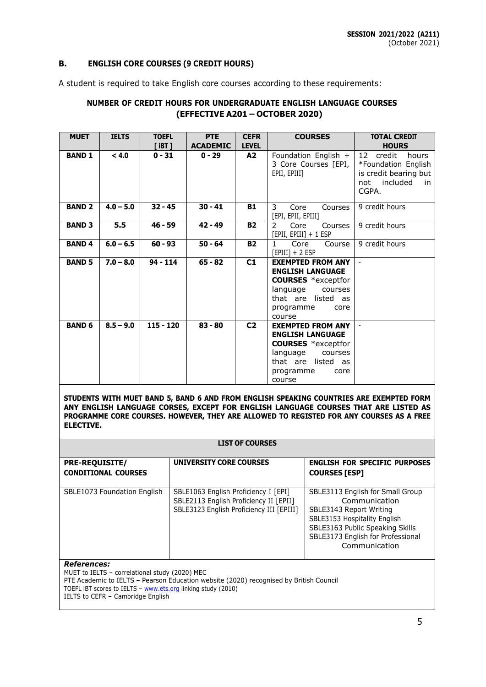## **B. ENGLISH CORE COURSES (9 CREDIT HOURS)**

A student is required to take English core courses according to these requirements:

## **NUMBER OF CREDIT HOURS FOR UNDERGRADUATE ENGLISH LANGUAGE COURSES (EFFECTIVE A201 – OCTOBER 2020)**

| <b>MUET</b>   | <b>IELTS</b> | <b>TOEFL</b><br>$[$ iBT $]$ | <b>PTE</b><br><b>ACADEMIC</b> | <b>CEFR</b><br><b>LEVEL</b> | <b>COURSES</b>                                                                                                                                               | <b>TOTAL CREDIT</b><br><b>HOURS</b>                                                                     |
|---------------|--------------|-----------------------------|-------------------------------|-----------------------------|--------------------------------------------------------------------------------------------------------------------------------------------------------------|---------------------------------------------------------------------------------------------------------|
| <b>BAND 1</b> | < 4.0        | $0 - 31$                    | $0 - 29$                      | A2                          | Foundation English +<br>3 Core Courses [EPI,  <br>EPII, EPIII]                                                                                               | 12<br>credit<br>hours<br>*Foundation English<br>is credit bearing but<br>included<br>not<br>in<br>CGPA. |
| <b>BAND 2</b> | $4.0 - 5.0$  | $32 - 45$                   | $30 - 41$                     | <b>B1</b>                   | 3<br>Core<br>Courses<br>[EPI, EPII, EPIII]                                                                                                                   | 9 credit hours                                                                                          |
| <b>BAND 3</b> | 5.5          | $46 - 59$                   | $42 - 49$                     | <b>B2</b>                   | $\mathcal{P}$<br>Core<br><b>Courses</b><br>[EPII, EPIII] + 1 ESP                                                                                             | 9 credit hours                                                                                          |
| <b>BAND4</b>  | $6.0 - 6.5$  | $60 - 93$                   | $50 - 64$                     | <b>B2</b>                   | $\mathbf{1}$<br>Core<br>Course<br>$[EPIII] + 2 ESP$                                                                                                          | 9 credit hours                                                                                          |
| <b>BAND 5</b> | $7.0 - 8.0$  | $94 - 114$                  | $65 - 82$                     | C1                          | <b>EXEMPTED FROM ANY</b><br><b>ENGLISH LANGUAGE</b><br><b>COURSES</b> *exceptfor<br>language<br>courses<br>that are listed as<br>programme<br>core<br>course | $\sim$                                                                                                  |
| <b>BAND 6</b> | $8.5 - 9.0$  | $115 - 120$                 | $83 - 80$                     | C <sub>2</sub>              | <b>EXEMPTED FROM ANY</b><br><b>ENGLISH LANGUAGE</b><br><b>COURSES</b> *exceptfor<br>language<br>courses<br>that are listed as<br>programme<br>core<br>course |                                                                                                         |

**STUDENTS WITH MUET BAND 5, BAND 6 AND FROM ENGLISH SPEAKING COUNTRIES ARE EXEMPTED FORM ANY ENGLISH LANGUAGE CORSES, EXCEPT FOR ENGLISH LANGUAGE COURSES THAT ARE LISTED AS PROGRAMME CORE COURSES. HOWEVER, THEY ARE ALLOWED TO REGISTED FOR ANY COURSES AS A FREE ELECTIVE.**

|                                                     | <b>LIST OF COURSES</b>                                                                                                     |                                                                                                                                                                                                       |
|-----------------------------------------------------|----------------------------------------------------------------------------------------------------------------------------|-------------------------------------------------------------------------------------------------------------------------------------------------------------------------------------------------------|
| <b>PRE-REQUISITE/</b><br><b>CONDITIONAL COURSES</b> | <b>UNIVERSITY CORE COURSES</b>                                                                                             | <b>ENGLISH FOR SPECIFIC PURPOSES</b><br><b>COURSES [ESP]</b>                                                                                                                                          |
| SBLE1073 Foundation English                         | SBLE1063 English Proficiency I [EPI]<br>SBLE2113 English Proficiency II [EPII]<br>SBLE3123 English Proficiency III [EPIII] | SBLE3113 English for Small Group<br>Communication<br>SBLE3143 Report Writing<br>SBLE3153 Hospitality English<br>SBLE3163 Public Speaking Skills<br>SBLE3173 English for Professional<br>Communication |

#### *References:*

MUET to IELTS – correlational study (2020) MEC PTE Academic to IELTS - Pearson Education website (2020) recognised by British Council TOEFL iBT scores to IELTS – [www.ets.org](http://www.ets.org/) linking study (2010) IELTS to CEFR – Cambridge English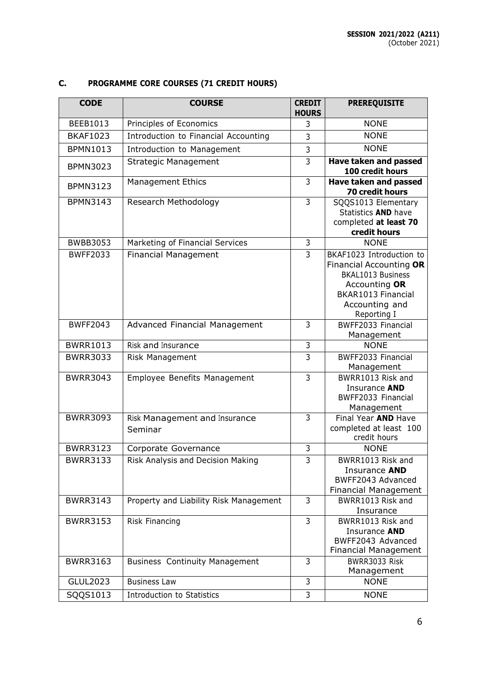| <b>CODE</b>     | <b>COURSE</b>                            | <b>CREDIT</b><br><b>HOURS</b> | <b>PREREQUISITE</b>                                                                                                                              |
|-----------------|------------------------------------------|-------------------------------|--------------------------------------------------------------------------------------------------------------------------------------------------|
| BEEB1013        | Principles of Economics                  | 3                             | <b>NONE</b>                                                                                                                                      |
| <b>BKAF1023</b> | Introduction to Financial Accounting     | 3                             | <b>NONE</b>                                                                                                                                      |
| BPMN1013        | Introduction to Management               | 3                             | <b>NONE</b>                                                                                                                                      |
| <b>BPMN3023</b> | <b>Strategic Management</b>              | 3                             | <b>Have taken and passed</b><br>100 credit hours                                                                                                 |
| <b>BPMN3123</b> | <b>Management Ethics</b>                 | 3                             | <b>Have taken and passed</b><br><b>70 credit hours</b>                                                                                           |
| <b>BPMN3143</b> | Research Methodology                     | $\overline{3}$                | SQQS1013 Elementary<br>Statistics AND have<br>completed at least 70<br>credit hours                                                              |
| <b>BWBB3053</b> | Marketing of Financial Services          | 3                             | <b>NONE</b>                                                                                                                                      |
| <b>BWFF2033</b> | <b>Financial Management</b>              | 3                             | BKAF1023 Introduction to<br>Financial Accounting OR<br>BKAL1013 Business<br>Accounting OR<br>BKAR1013 Financial<br>Accounting and<br>Reporting I |
| <b>BWFF2043</b> | Advanced Financial Management            | 3                             | BWFF2033 Financial<br>Management                                                                                                                 |
| <b>BWRR1013</b> | Risk and Insurance                       | $\overline{3}$                | <b>NONE</b>                                                                                                                                      |
| <b>BWRR3033</b> | Risk Management                          | 3                             | BWFF2033 Financial<br>Management                                                                                                                 |
| <b>BWRR3043</b> | Employee Benefits Management             | 3                             | BWRR1013 Risk and<br>Insurance AND<br>BWFF2033 Financial<br>Management                                                                           |
| <b>BWRR3093</b> | Risk Management and Insurance<br>Seminar | $\overline{3}$                | Final Year AND Have<br>completed at least 100<br>credit hours                                                                                    |
| <b>BWRR3123</b> | Corporate Governance                     | 3                             | <b>NONE</b>                                                                                                                                      |
| <b>BWRR3133</b> | Risk Analysis and Decision Making        | $\overline{3}$                | BWRR1013 Risk and<br>Insurance AND<br>BWFF2043 Advanced<br><b>Financial Management</b>                                                           |
| <b>BWRR3143</b> | Property and Liability Risk Management   | $\overline{3}$                | BWRR1013 Risk and<br>Insurance                                                                                                                   |
| <b>BWRR3153</b> | Risk Financing                           | 3                             | BWRR1013 Risk and<br>Insurance AND<br>BWFF2043 Advanced<br><b>Financial Management</b>                                                           |
| <b>BWRR3163</b> | <b>Business Continuity Management</b>    | 3                             | BWRR3033 Risk<br>Management                                                                                                                      |
| <b>GLUL2023</b> | <b>Business Law</b>                      | 3                             | <b>NONE</b>                                                                                                                                      |
| SQQS1013        | Introduction to Statistics               | $\overline{3}$                | <b>NONE</b>                                                                                                                                      |

# **C. PROGRAMME CORE COURSES (71 CREDIT HOURS)**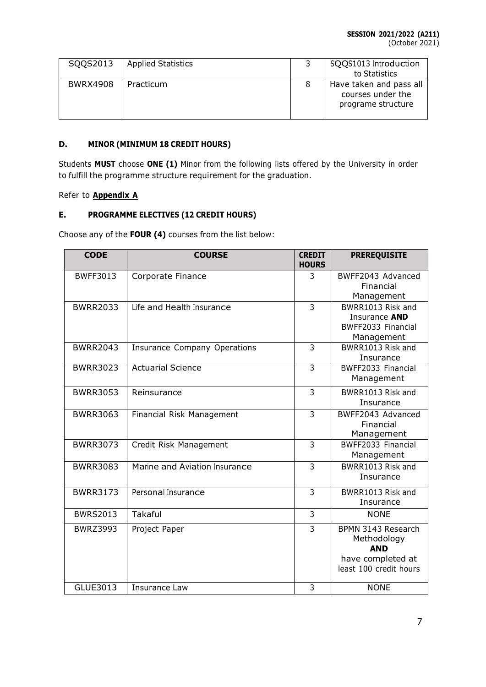(October 2021)

| SQQS2013        | <b>Applied Statistics</b> | SQQS1013 Introduction<br>to Statistics                             |
|-----------------|---------------------------|--------------------------------------------------------------------|
| <b>BWRX4908</b> | Practicum                 | Have taken and pass all<br>courses under the<br>programe structure |

## **D. MINOR (MINIMUM 18 CREDIT HOURS)**

Students **MUST** choose **ONE (1)** Minor from the following lists offered by the University in order to fulfill the programme structure requirement for the graduation.

## Refer to **Appendix A**

## **E. PROGRAMME ELECTIVES (12 CREDIT HOURS)**

Choose any of the **FOUR (4)** courses from the list below:

| <b>CODE</b>     | <b>COURSE</b>                 | <b>CREDIT</b><br><b>HOURS</b> | <b>PREREQUISITE</b>              |
|-----------------|-------------------------------|-------------------------------|----------------------------------|
| <b>BWFF3013</b> | Corporate Finance             | 3                             | BWFF2043 Advanced<br>Financial   |
|                 |                               |                               | Management                       |
| <b>BWRR2033</b> | Life and Health Insurance     | $\overline{3}$                | BWRR1013 Risk and                |
|                 |                               |                               | Insurance AND                    |
|                 |                               |                               | BWFF2033 Financial<br>Management |
| <b>BWRR2043</b> | Insurance Company Operations  | 3                             | BWRR1013 Risk and                |
|                 |                               |                               | Insurance                        |
| <b>BWRR3023</b> | <b>Actuarial Science</b>      | 3                             | BWFF2033 Financial               |
|                 |                               |                               | Management                       |
| <b>BWRR3053</b> | Reinsurance                   | 3                             | BWRR1013 Risk and                |
|                 |                               |                               | Insurance                        |
| <b>BWRR3063</b> | Financial Risk Management     | 3                             | BWFF2043 Advanced                |
|                 |                               |                               | Financial<br>Management          |
| <b>BWRR3073</b> | Credit Risk Management        | 3                             | BWFF2033 Financial               |
|                 |                               |                               | Management                       |
| <b>BWRR3083</b> | Marine and Aviation Insurance | $\overline{3}$                | BWRR1013 Risk and                |
|                 |                               |                               | Insurance                        |
| <b>BWRR3173</b> | Personal Insurance            | 3                             | BWRR1013 Risk and                |
|                 |                               |                               | Insurance                        |
| <b>BWRS2013</b> | Takaful                       | 3                             | <b>NONE</b>                      |
| <b>BWRZ3993</b> | Project Paper                 | $\overline{3}$                | BPMN 3143 Research               |
|                 |                               |                               | Methodology                      |
|                 |                               |                               | <b>AND</b><br>have completed at  |
|                 |                               |                               | least 100 credit hours           |
|                 |                               |                               |                                  |
| GLUE3013        | Insurance Law                 | 3                             | <b>NONE</b>                      |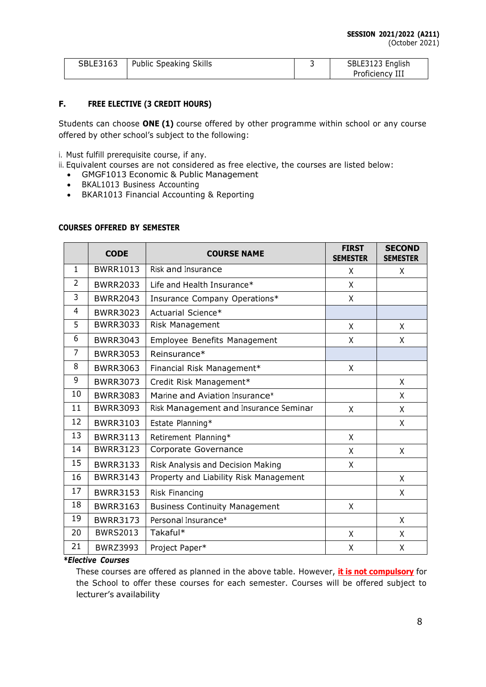(October 2021)

| SBLE3163 | Public Speaking Skills | SBLE3123 English |
|----------|------------------------|------------------|
|          |                        | Proficiency III  |

## **F. FREE ELECTIVE (3 CREDIT HOURS)**

Students can choose **ONE (1)** course offered by other programme within school or any course offered by other school's subject to the following:

i. Must fulfill prerequisite course, if any.

- ii. Equivalent courses are not considered as free elective, the courses are listed below:
	- GMGF1013 Economic & Public Management
	- BKAL1013 Business Accounting
	- BKAR1013 Financial Accounting & Reporting

#### **COURSES OFFERED BY SEMESTER**

|                | <b>CODE</b>     | <b>COURSE NAME</b>                     | <b>FIRST</b><br><b>SEMESTER</b> | <b>SECOND</b><br><b>SEMESTER</b> |
|----------------|-----------------|----------------------------------------|---------------------------------|----------------------------------|
| 1              | <b>BWRR1013</b> | Risk and Insurance                     | X                               | X                                |
| $\overline{2}$ | <b>BWRR2033</b> | Life and Health Insurance*             | Χ                               |                                  |
| 3              | <b>BWRR2043</b> | Insurance Company Operations*          | Χ                               |                                  |
| 4              | <b>BWRR3023</b> | Actuarial Science*                     |                                 |                                  |
| 5              | <b>BWRR3033</b> | Risk Management                        | X                               | X                                |
| 6              | <b>BWRR3043</b> | Employee Benefits Management           | X                               | X                                |
| 7              | <b>BWRR3053</b> | Reinsurance*                           |                                 |                                  |
| 8              | <b>BWRR3063</b> | Financial Risk Management*             | X                               |                                  |
| 9              | <b>BWRR3073</b> | Credit Risk Management*                |                                 | X                                |
| 10             | <b>BWRR3083</b> | Marine and Aviation Insurance*         |                                 | X                                |
| 11             | <b>BWRR3093</b> | Risk Management and Insurance Seminar  | $\mathsf{X}$                    | X                                |
| 12             | <b>BWRR3103</b> | Estate Planning*                       |                                 | X                                |
| 13             | <b>BWRR3113</b> | Retirement Planning*                   | X                               |                                  |
| 14             | <b>BWRR3123</b> | Corporate Governance                   | Χ                               | X                                |
| 15             | <b>BWRR3133</b> | Risk Analysis and Decision Making      | X                               |                                  |
| 16             | <b>BWRR3143</b> | Property and Liability Risk Management |                                 | X                                |
| 17             | <b>BWRR3153</b> | Risk Financing                         |                                 | X                                |
| 18             | <b>BWRR3163</b> | <b>Business Continuity Management</b>  | X                               |                                  |
| 19             | <b>BWRR3173</b> | Personal Insurance*                    |                                 | X                                |
| 20             | <b>BWRS2013</b> | Takaful*                               | X                               | X                                |
| 21             | <b>BWRZ3993</b> | Project Paper*                         | X                               | X                                |

## *\*Elective Courses*

These courses are offered as planned in the above table. However, **it is not compulsory** for the School to offer these courses for each semester. Courses will be offered subject to lecturer's availability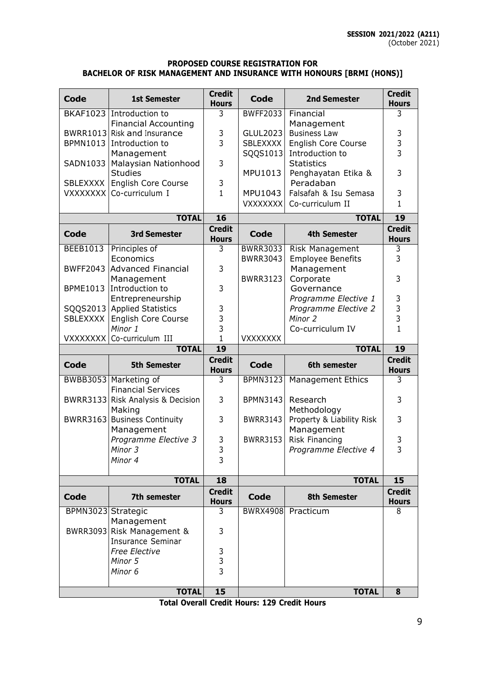## **PROPOSED COURSE REGISTRATION FOR BACHELOR OF RISK MANAGEMENT AND INSURANCE WITH HONOURS [BRMI (HONS)]**

| Code               | <b>1st Semester</b>                    | <b>Credit</b><br><b>Hours</b> | Code            | <b>2nd Semester</b>                  | <b>Credit</b><br><b>Hours</b> |
|--------------------|----------------------------------------|-------------------------------|-----------------|--------------------------------------|-------------------------------|
|                    | BKAF1023 Introduction to               | 3                             | <b>BWFF2033</b> | Financial                            | 3                             |
|                    | <b>Financial Accounting</b>            |                               |                 | Management                           |                               |
|                    | BWRR1013 Risk and Insurance            | 3                             | GLUL2023        | <b>Business Law</b>                  | 3                             |
|                    | BPMN1013 Introduction to               | 3                             | <b>SBLEXXXX</b> | <b>English Core Course</b>           | 3<br>3                        |
| SADN1033           | Management                             | 3                             | SQQS1013        | Introduction to<br><b>Statistics</b> |                               |
|                    | Malaysian Nationhood<br><b>Studies</b> |                               | MPU1013         | Penghayatan Etika &                  | 3                             |
| SBLEXXXX           | English Core Course                    | 3                             |                 | Peradaban                            |                               |
| <b>VXXXXXXX</b>    | Co-curriculum I                        | $\mathbf{1}$                  | MPU1043         | Falsafah & Isu Semasa                | 3                             |
|                    |                                        |                               | <b>VXXXXXXX</b> | Co-curriculum II                     | $\mathbf 1$                   |
|                    | <b>TOTAL</b>                           | $\overline{16}$               |                 | <b>TOTAL</b>                         | $\overline{19}$               |
|                    |                                        | <b>Credit</b>                 |                 |                                      | <b>Credit</b>                 |
| Code               | <b>3rd Semester</b>                    | <b>Hours</b>                  | <b>Code</b>     | <b>4th Semester</b>                  | <b>Hours</b>                  |
| <b>BEEB1013</b>    | Principles of                          | 3                             | <b>BWRR3033</b> | <b>Risk Management</b>               | 3                             |
|                    | Economics                              |                               | <b>BWRR3043</b> | <b>Employee Benefits</b>             | 3                             |
|                    | BWFF2043 Advanced Financial            | 3                             |                 | Management                           |                               |
|                    | Management                             |                               | <b>BWRR3123</b> | Corporate                            | 3                             |
| <b>BPME1013</b>    | Introduction to                        | 3                             |                 | Governance                           |                               |
|                    | Entrepreneurship                       |                               |                 | Programme Elective 1                 | 3                             |
|                    | SQQS2013 Applied Statistics            | 3                             |                 | Programme Elective 2                 | 3                             |
| SBLEXXXX           | English Core Course<br>Minor 1         | 3<br>3                        |                 | Minor 2<br>Co-curriculum IV          | 3<br>$\mathbf{1}$             |
|                    | VXXXXXXX Co-curriculum III             | $\mathbf{1}$                  | <b>VXXXXXXX</b> |                                      |                               |
|                    |                                        |                               |                 |                                      |                               |
|                    |                                        |                               |                 |                                      |                               |
|                    | <b>TOTAL</b>                           | 19<br><b>Credit</b>           |                 | <b>TOTAL</b>                         | 19<br><b>Credit</b>           |
| Code               | <b>5th Semester</b>                    | <b>Hours</b>                  | Code            | 6th semester                         | <b>Hours</b>                  |
| <b>BWBB3053</b>    | Marketing of                           | 3                             | <b>BPMN3123</b> | <b>Management Ethics</b>             | 3                             |
|                    | <b>Financial Services</b>              |                               |                 |                                      |                               |
|                    | BWRR3133 Risk Analysis & Decision      | 3                             | BPMN3143        | Research                             | 3                             |
|                    | Making                                 |                               |                 | Methodology                          |                               |
|                    | BWRR3163 Business Continuity           | 3                             | <b>BWRR3143</b> | Property & Liability Risk            | 3                             |
|                    | Management                             |                               |                 | Management                           |                               |
|                    | Programme Elective 3                   | 3                             | <b>BWRR3153</b> | Risk Financing                       | 3                             |
|                    | Minor 3                                | 3                             |                 | Programme Elective 4                 | 3                             |
|                    | Minor 4                                | 3                             |                 |                                      |                               |
|                    | <b>TOTAL</b>                           | $\overline{18}$               |                 | <b>TOTAL</b>                         | 15                            |
| <b>Code</b>        | 7th semester                           | <b>Credit</b>                 | <b>Code</b>     | <b>8th Semester</b>                  | <b>Credit</b>                 |
| BPMN3023 Strategic |                                        | <b>Hours</b><br>3             | <b>BWRX4908</b> | Practicum                            | <b>Hours</b><br>8             |
|                    | Management                             |                               |                 |                                      |                               |
|                    | BWRR3093 Risk Management &             | 3                             |                 |                                      |                               |
|                    | <b>Insurance Seminar</b>               |                               |                 |                                      |                               |
|                    | Free Elective                          | 3                             |                 |                                      |                               |
|                    | Minor 5                                | 3                             |                 |                                      |                               |
|                    | Minor 6                                | $\overline{3}$                |                 |                                      |                               |

**Total Overall Credit Hours: 129 Credit Hours**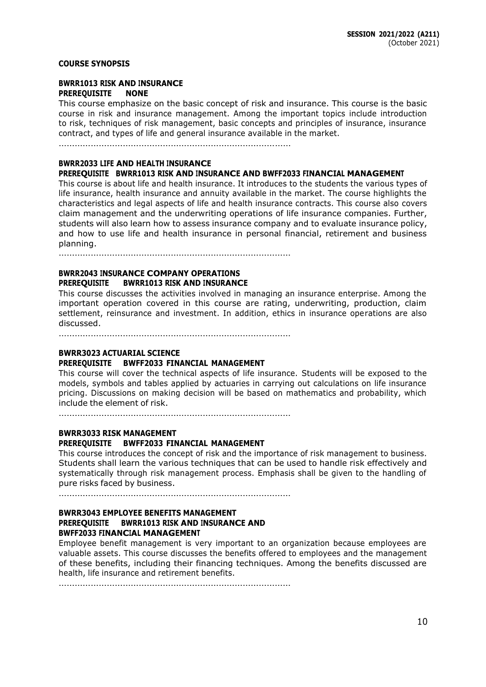### **COURSE SYNOPSIS**

### **BWRR1013 RISK AND INSURANCE PREREQUISITE NONE**

This course emphasize on the basic concept of risk and insurance. This course is the basic course in risk and insurance management. Among the important topics include introduction to risk, techniques of risk management, basic concepts and principles of insurance, insurance contract, and types of life and general insurance available in the market.

……………………………………………………………………………

#### **BWRR2033 LIFE AND HEALTH INSURANCE**

#### **PREREQUISITE BWRR1013 RISK AND INSURANCE AND BWFF2033 FINANCIAL MANAGEMENT**

This course is about life and health insurance. It introduces to the students the various types of life insurance, health insurance and annuity available in the market. The course highlights the characteristics and legal aspects of life and health insurance contracts. This course also covers claim management and the underwriting operations of life insurance companies. Further, students will also learn how to assess insurance company and to evaluate insurance policy, and how to use life and health insurance in personal financial, retirement and business planning.

……………………………………………………………………………

## **BWRR2043 INSURANCE COMPANY OPERATIONS PREREQUISITE BWRR1013 RISK AND INSURANCE**

This course discusses the activities involved in managing an insurance enterprise. Among the important operation covered in this course are rating, underwriting, production, claim settlement, reinsurance and investment. In addition, ethics in insurance operations are also discussed.

……………………………………………………………………………

### **BWRR3023 ACTUARIAL SCIENCE**

#### **PREREQUISITE BWFF2033 FINANCIAL MANAGEMENT**

This course will cover the technical aspects of life insurance. Students will be exposed to the models, symbols and tables applied by actuaries in carrying out calculations on life insurance pricing. Discussions on making decision will be based on mathematics and probability, which include the element of risk.

……………………………………………………………………………

## **BWRR3033 RISK MANAGEMENT PREREQUISITE BWFF2033 FINANCIAL MANAGEMENT**

This course introduces the concept of risk and the importance of risk management to business. Students shall learn the various techniques that can be used to handle risk effectively and systematically through risk management process. Emphasis shall be given to the handling of pure risks faced by business.

……………………………………………………………………………

## **BWRR3043 EMPLOYEE BENEFITS MANAGEMENT PREREQUISITE BWRR1013 RISK AND INSURANCE AND BWFF2033 FINANCIAL MANAGEMENT**

Employee benefit management is very important to an organization because employees are valuable assets. This course discusses the benefits offered to employees and the management of these benefits, including their financing techniques. Among the benefits discussed are health, life insurance and retirement benefits.

……………………………………………………………………………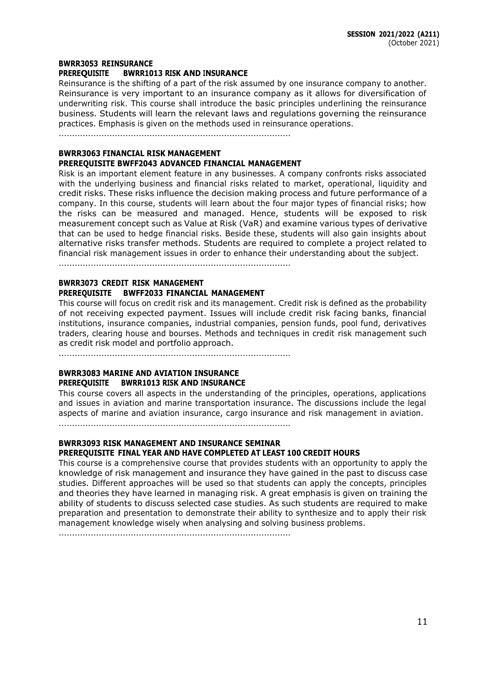#### **BWRR3053 REINSURANCE**

#### **PREREQUISITE BWRR1013 RISK AND INSURANCE**

Reinsurance is the shifting of a part of the risk assumed by one insurance company to another. Reinsurance is very important to an insurance company as it allows for diversification of underwriting risk. This course shall introduce the basic principles underlining the reinsurance business. Students will learn the relevant laws and regulations governing the reinsurance practices. Emphasis is given on the methods used in reinsurance operations.

……………………………………………………………………………

#### **BWRR3063 FINANCIAL RISK MANAGEMENT PREREQUISITE BWFF2043 ADVANCED FINANCIAL MANAGEMENT**

Risk is an important element feature in any businesses. A company confronts risks associated with the underlying business and financial risks related to market, operational, liquidity and credit risks. These risks influence the decision making process and future performance of a company. In this course, students will learn about the four major types of financial risks; how the risks can be measured and managed. Hence, students will be exposed to risk measurement concept such as Value at Risk (VaR) and examine various types of derivative that can be used to hedge financial risks. Beside these, students will also gain insights about alternative risks transfer methods. Students are required to complete a project related to financial risk management issues in order to enhance their understanding about the subject.

……………………………………………………………………………

### **BWRR3073 CREDIT RISK MANAGEMENT PREREQUISITE BWFF2033 FINANCIAL MANAGEMENT**

This course will focus on credit risk and its management. Credit risk is defined as the probability of not receiving expected payment. Issues will include credit risk facing banks, financial institutions, insurance companies, industrial companies, pension funds, pool fund, derivatives traders, clearing house and bourses. Methods and techniques in credit risk management such as credit risk model and portfolio approach.

……………………………………………………………………………

## **BWRR3083 MARINE AND AVIATION INSURANCE PREREQUISITE BWRR1013 RISK AND INSURANCE**

This course covers all aspects in the understanding of the principles, operations, applications and issues in aviation and marine transportation insurance. The discussions include the legal aspects of marine and aviation insurance, cargo insurance and risk management in aviation.

……………………………………………………………………………

## **BWRR3093 RISK MANAGEMENT AND INSURANCE SEMINAR PREREQUISITE FINAL YEAR AND HAVE COMPLETED AT LEAST 100 CREDIT HOURS**

This course is a comprehensive course that provides students with an opportunity to apply the knowledge of risk management and insurance they have gained in the past to discuss case studies. Different approaches will be used so that students can apply the concepts, principles and theories they have learned in managing risk. A great emphasis is given on training the ability of students to discuss selected case studies. As such students are required to make preparation and presentation to demonstrate their ability to synthesize and to apply their risk management knowledge wisely when analysing and solving business problems.

……………………………………………………………………………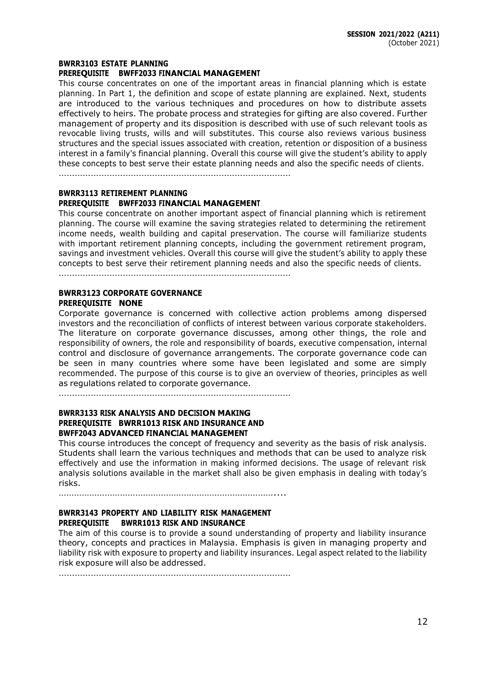#### **BWRR3103 ESTATE PLANNING**

#### **PREREQUISITE BWFF2033 FINANCIAL MANAGEMENT**

This course concentrates on one of the important areas in financial planning which is estate planning. In Part 1, the definition and scope of estate planning are explained. Next, students are introduced to the various techniques and procedures on how to distribute assets effectively to heirs. The probate process and strategies for gifting are also covered. Further management of property and its disposition is described with use of such relevant tools as revocable living trusts, wills and will substitutes. This course also reviews various business structures and the special issues associated with creation, retention or disposition of a business interest in a family's financial planning. Overall this course will give the student's ability to apply these concepts to best serve their estate planning needs and also the specific needs of clients.

……………………………………………………………………………

#### **BWRR3113 RETIREMENT PLANNING**

#### **PREREQUISITE BWFF2033 FINANCIAL MANAGEMENT**

This course concentrate on another important aspect of financial planning which is retirement planning. The course will examine the saving strategies related to determining the retirement income needs, wealth building and capital preservation. The course will familiarize students with important retirement planning concepts, including the government retirement program, savings and investment vehicles. Overall this course will give the student's ability to apply these concepts to best serve their retirement planning needs and also the specific needs of clients.

……………………………………………………………………………

## **BWRR3123 CORPORATE GOVERNANCE PREREQUISITE NONE**

Corporate governance is concerned with collective action problems among dispersed investors and the reconciliation of conflicts of interest between various corporate stakeholders. The literature on corporate governance discusses, among other things, the role and responsibility of owners, the role and responsibility of boards, executive compensation, internal control and disclosure of governance arrangements. The corporate governance code can be seen in many countries where some have been legislated and some are simply recommended. The purpose of this course is to give an overview of theories, principles as well as regulations related to corporate governance.

……………………………………………………………………………

#### **BWRR3133 RISK ANALYSIS AND DECISION MAKING PREREQUISITE BWRR1013 RISK AND INSURANCE AND BWFF2043 ADVANCED FINANCIAL MANAGEMENT**

This course introduces the concept of frequency and severity as the basis of risk analysis. Students shall learn the various techniques and methods that can be used to analyze risk effectively and use the information in making informed decisions. The usage of relevant risk analysis solutions available in the market shall also be given emphasis in dealing with today's risks.

…………………………………………………………………………....

### **BWRR3143 PROPERTY AND LIABILITY RISK MANAGEMENT PREREQUISITE BWRR1013 RISK AND INSURANCE**

The aim of this course is to provide a sound understanding of property and liability insurance theory, concepts and practices in Malaysia. Emphasis is given in managing property and liability risk with exposure to property and liability insurances. Legal aspect related to the liability risk exposure will also be addressed.

……………………………………………………………………………